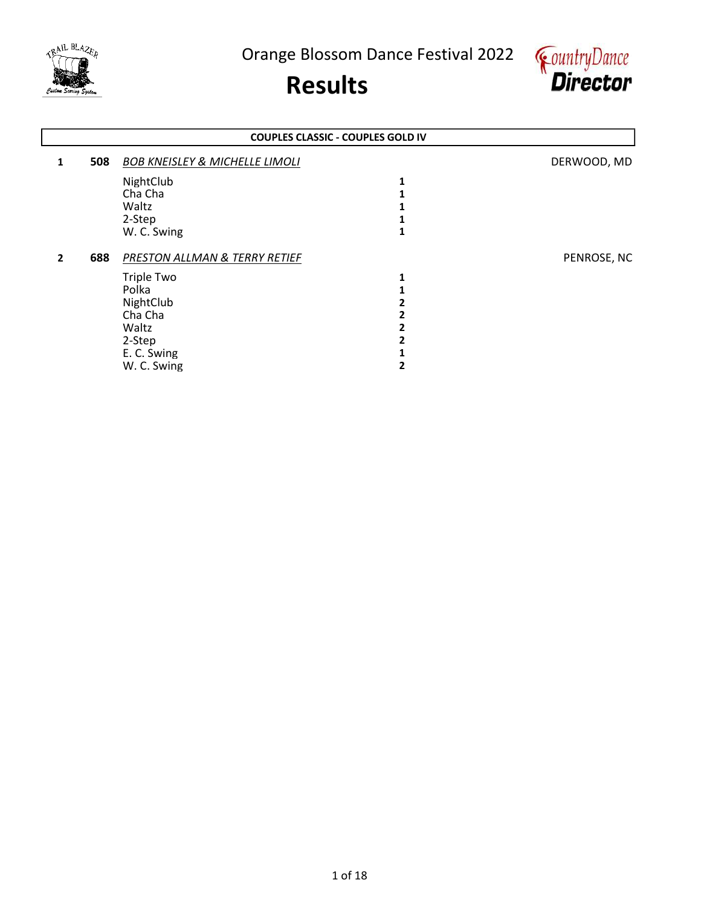



|              |     |                                           | <b>COUPLES CLASSIC - COUPLES GOLD IV</b> |             |
|--------------|-----|-------------------------------------------|------------------------------------------|-------------|
| 1            | 508 | <b>BOB KNEISLEY &amp; MICHELLE LIMOLI</b> |                                          | DERWOOD, MD |
|              |     | NightClub                                 | 1                                        |             |
|              |     | Cha Cha                                   |                                          |             |
|              |     | Waltz                                     |                                          |             |
|              |     | 2-Step                                    |                                          |             |
|              |     | W. C. Swing                               |                                          |             |
| $\mathbf{2}$ | 688 | PRESTON ALLMAN & TERRY RETIEF             |                                          | PENROSE, NC |
|              |     | <b>Triple Two</b>                         | 1                                        |             |
|              |     | Polka                                     |                                          |             |
|              |     | NightClub                                 |                                          |             |
|              |     | Cha Cha                                   |                                          |             |
|              |     |                                           |                                          |             |
|              |     | Waltz                                     |                                          |             |
|              |     | 2-Step                                    |                                          |             |
|              |     | E. C. Swing                               |                                          |             |
|              |     |                                           |                                          |             |
|              |     | W. C. Swing                               |                                          |             |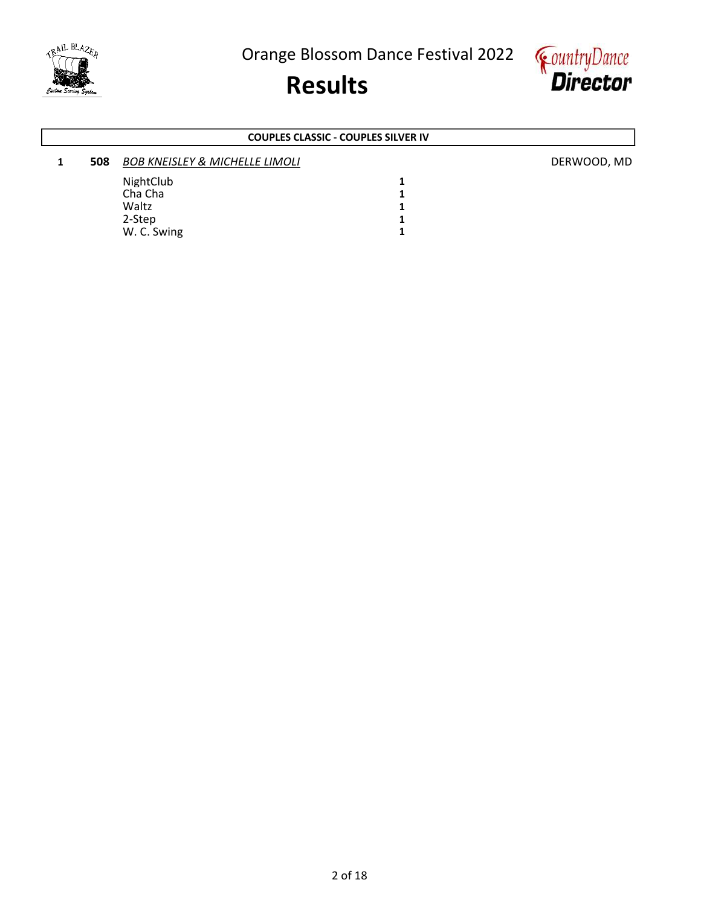

## Results



### COUPLES CLASSIC - COUPLES SILVER IV

### 1 508 BOB KNEISLEY & MICHELLE LIMOLI DERWOOD, MD NightClub 1<br>Cha Cha 1 Cha Cha 2012 - 2022 - 2022 - 2022 - 2022 - 2022 - 2022 - 2022 - 2022 - 2022 - 2022 - 2022 - 2022 - 2022 - 2022<br>Tanàna amin'ny soratra desimaly ny taona 2022 - 2022 - 2022 - 2022 - 2022 - 2022 - 2022 - 2022 - 2022 - 2022 -Waltz 1<br>2-Step 1 2-Step 1<br>W. C. Swing 1 W. C. Swing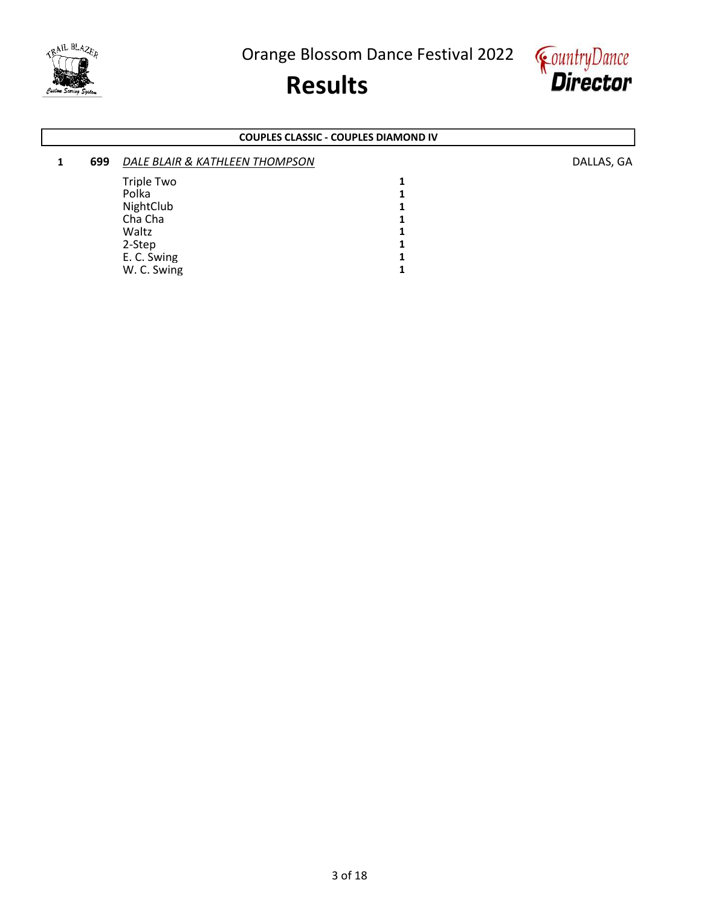

# Results



### COUPLES CLASSIC - COUPLES DIAMOND IV

| 699 | DALE BLAIR & KATHLEEN THOMPSON |  |
|-----|--------------------------------|--|
|     | <b>Triple Two</b><br>Polka     |  |
|     | NightClub                      |  |
|     | Cha Cha                        |  |
|     | Waltz                          |  |
|     | 2-Step                         |  |
|     | E. C. Swing                    |  |
|     | W. C. Swing                    |  |

DALLAS, GA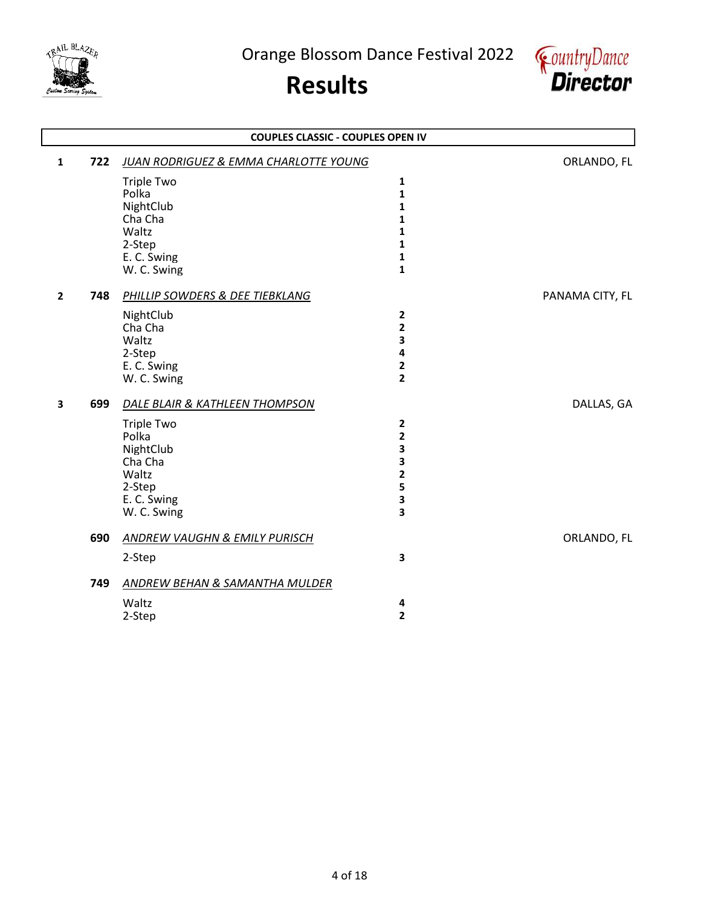

L

Orange Blossom Dance Festival 2022



|                       | <b>COUPLES CLASSIC - COUPLES OPEN IV</b>                                                                 |                                                                                  |                 |  |  |
|-----------------------|----------------------------------------------------------------------------------------------------------|----------------------------------------------------------------------------------|-----------------|--|--|
| 722<br>$\mathbf{1}$   | JUAN RODRIGUEZ & EMMA CHARLOTTE YOUNG                                                                    |                                                                                  | ORLANDO, FL     |  |  |
|                       | <b>Triple Two</b><br>Polka<br>NightClub<br>Cha Cha<br>Waltz<br>2-Step<br>E. C. Swing<br>W. C. Swing      | 1<br>$\mathbf{1}$<br>$\mathbf{1}$<br>1<br>1<br>1<br>$\mathbf{1}$<br>$\mathbf{1}$ |                 |  |  |
| 748<br>$\overline{2}$ | PHILLIP SOWDERS & DEE TIEBKLANG<br>NightClub<br>Cha Cha<br>Waltz<br>2-Step<br>E. C. Swing<br>W. C. Swing | $\overline{2}$<br>$\mathbf{2}$<br>3<br>4<br>$\mathbf{2}$<br>$\overline{2}$       | PANAMA CITY, FL |  |  |
| 699<br>3              | DALE BLAIR & KATHLEEN THOMPSON                                                                           |                                                                                  | DALLAS, GA      |  |  |
|                       | <b>Triple Two</b><br>Polka<br>NightClub<br>Cha Cha<br>Waltz<br>2-Step<br>E. C. Swing<br>W. C. Swing      | $\overline{2}$<br>$\overline{2}$<br>3<br>3<br>$\mathbf{2}$<br>5<br>3<br>3        |                 |  |  |
| 690                   | <b>ANDREW VAUGHN &amp; EMILY PURISCH</b><br>2-Step                                                       | 3                                                                                | ORLANDO, FL     |  |  |
| 749                   | ANDREW BEHAN & SAMANTHA MULDER<br>Waltz<br>2-Step                                                        | 4<br>$\overline{2}$                                                              |                 |  |  |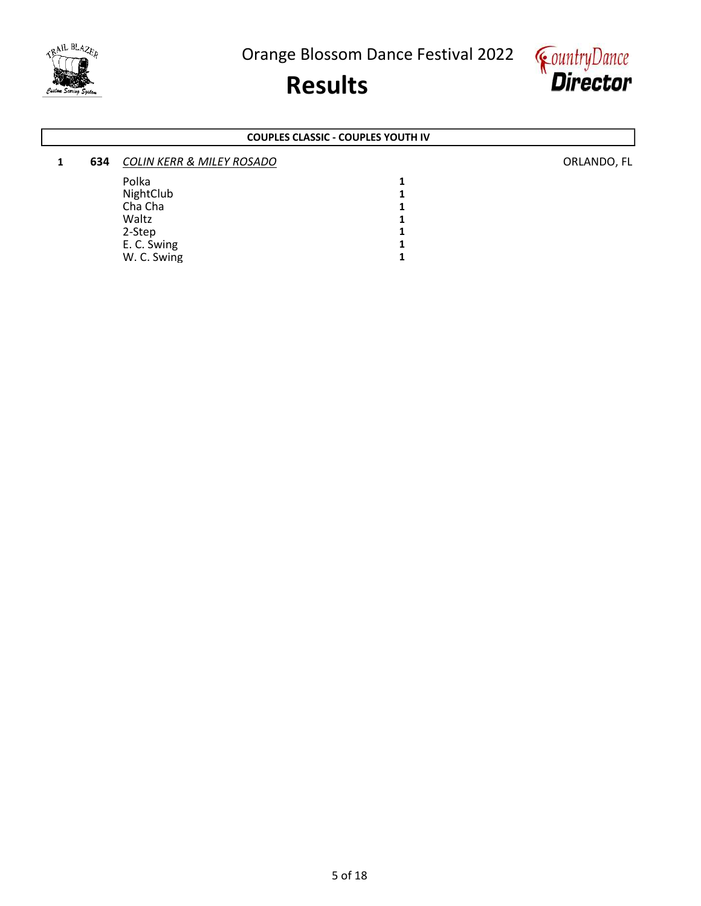





#### COUPLES CLASSIC - COUPLES YOUTH IV

| 634 | <b>COLIN KERR &amp; MILEY ROSADO</b> |  |
|-----|--------------------------------------|--|
|     | Polka                                |  |
|     | NightClub                            |  |
|     | Cha Cha                              |  |
|     | Waltz                                |  |
|     | 2-Step                               |  |
|     | E. C. Swing                          |  |
|     | W. C. Swing                          |  |

ORLANDO, FL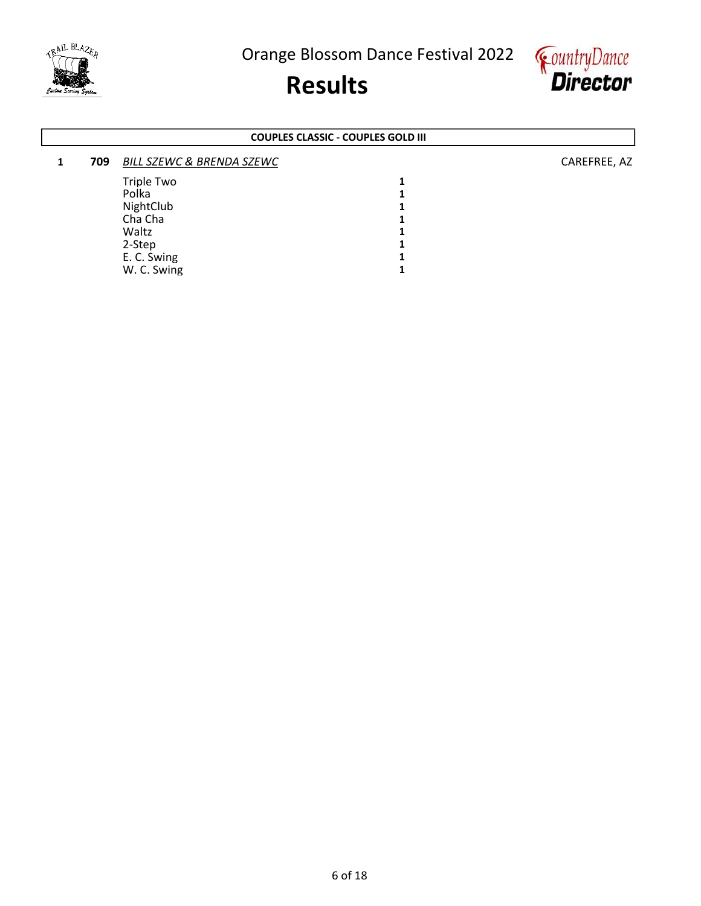

# Results



#### COUPLES CLASSIC - COUPLES GOLD III

| 709 | <b>BILL SZEWC &amp; BRENDA SZEWC</b> |   | CAREFREE, AZ |
|-----|--------------------------------------|---|--------------|
|     | Triple Two                           | 4 |              |
|     | Polka                                |   |              |
|     | NightClub                            |   |              |
|     | Cha Cha                              |   |              |
|     | Waltz                                |   |              |
|     | 2-Step                               |   |              |
|     | E. C. Swing                          | 4 |              |
|     | W. C. Swing                          |   |              |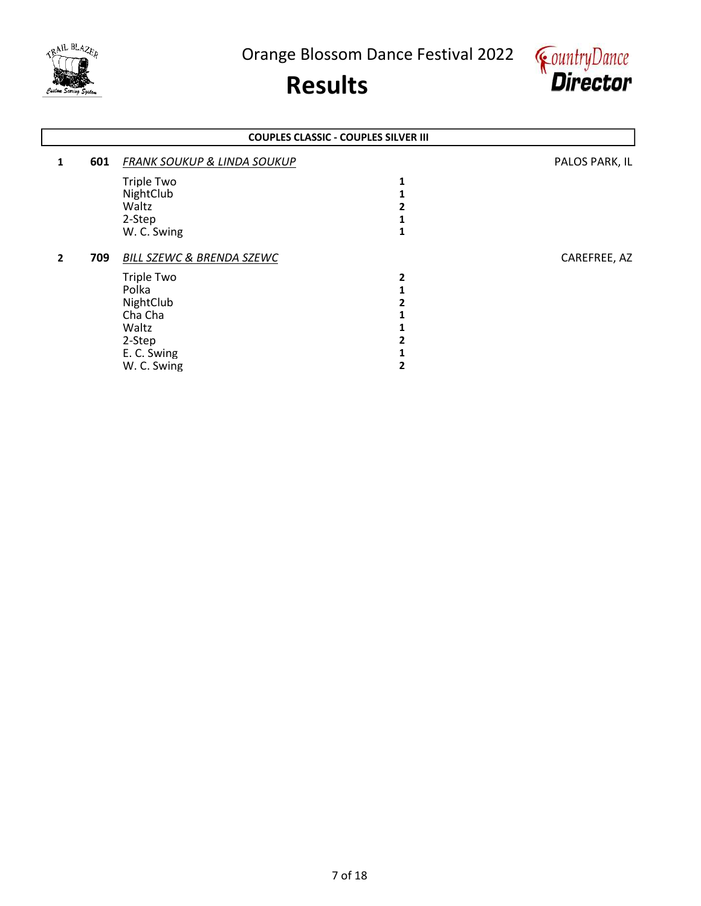



|              | <b>COUPLES CLASSIC - COUPLES SILVER III</b> |                                        |   |                |  |
|--------------|---------------------------------------------|----------------------------------------|---|----------------|--|
| 1            | 601                                         | <b>FRANK SOUKUP &amp; LINDA SOUKUP</b> |   | PALOS PARK, IL |  |
|              |                                             | Triple Two                             |   |                |  |
|              |                                             | NightClub                              |   |                |  |
|              |                                             | Waltz                                  |   |                |  |
|              |                                             | 2-Step                                 |   |                |  |
|              |                                             | W. C. Swing                            |   |                |  |
| $\mathbf{2}$ | 709                                         | <b>BILL SZEWC &amp; BRENDA SZEWC</b>   |   | CAREFREE, AZ   |  |
|              |                                             | Triple Two                             | 2 |                |  |
|              |                                             | Polka                                  |   |                |  |
|              |                                             | NightClub                              |   |                |  |
|              |                                             | Cha Cha                                |   |                |  |
|              |                                             | Waltz                                  |   |                |  |
|              |                                             | 2-Step                                 |   |                |  |
|              |                                             | E. C. Swing                            |   |                |  |
|              |                                             |                                        |   |                |  |
|              |                                             | W. C. Swing                            |   |                |  |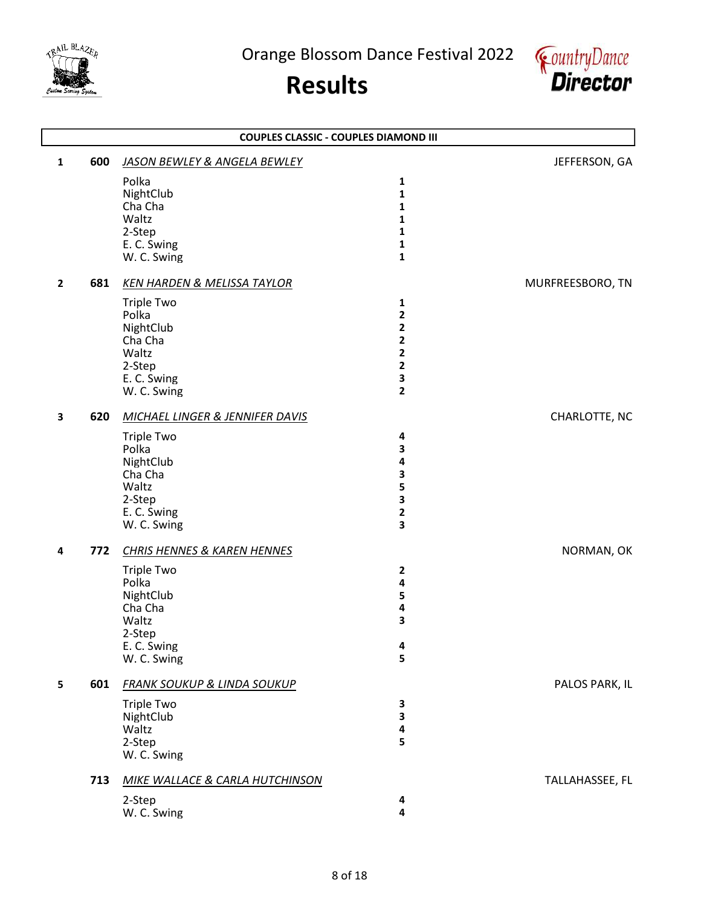



|              | <b>COUPLES CLASSIC - COUPLES DIAMOND III</b> |                                                                                                     |                                                                                  |                  |  |
|--------------|----------------------------------------------|-----------------------------------------------------------------------------------------------------|----------------------------------------------------------------------------------|------------------|--|
| $\mathbf{1}$ | 600                                          | JASON BEWLEY & ANGELA BEWLEY                                                                        |                                                                                  | JEFFERSON, GA    |  |
|              |                                              | Polka<br>NightClub<br>Cha Cha<br>Waltz<br>2-Step<br>E. C. Swing<br>W. C. Swing                      | 1<br>1<br>1<br>1<br>1<br>1<br>$\mathbf{1}$                                       |                  |  |
| $\mathbf{2}$ | 681                                          | <b>KEN HARDEN &amp; MELISSA TAYLOR</b>                                                              |                                                                                  | MURFREESBORO, TN |  |
|              |                                              | <b>Triple Two</b><br>Polka<br>NightClub<br>Cha Cha<br>Waltz<br>2-Step<br>E. C. Swing<br>W. C. Swing | 1<br>$\overline{\mathbf{c}}$<br>2<br>2<br>2<br>2<br>3<br>$\overline{\mathbf{2}}$ |                  |  |
| 3            | 620                                          | <b>MICHAEL LINGER &amp; JENNIFER DAVIS</b>                                                          |                                                                                  | CHARLOTTE, NC    |  |
|              |                                              | <b>Triple Two</b><br>Polka<br>NightClub<br>Cha Cha<br>Waltz<br>2-Step<br>E. C. Swing<br>W. C. Swing | 4<br>3<br>4<br>3<br>5<br>3<br>2<br>3                                             |                  |  |
| 4            | 772                                          | <b>CHRIS HENNES &amp; KAREN HENNES</b>                                                              |                                                                                  | NORMAN, OK       |  |
|              |                                              | <b>Triple Two</b><br>Polka<br>NightClub<br>Cha Cha<br>Waltz<br>2-Step<br>E. C. Swing<br>W. C. Swing | 2<br>4<br>5<br>4<br>3<br>4<br>5                                                  |                  |  |
| 5            | 601                                          | <b>FRANK SOUKUP &amp; LINDA SOUKUP</b>                                                              |                                                                                  | PALOS PARK, IL   |  |
|              |                                              | <b>Triple Two</b><br>NightClub<br>Waltz<br>2-Step<br>W. C. Swing                                    | 3<br>3<br>4<br>5                                                                 |                  |  |
|              | 713                                          | <b>MIKE WALLACE &amp; CARLA HUTCHINSON</b><br>2-Step<br>W. C. Swing                                 | 4<br>4                                                                           | TALLAHASSEE, FL  |  |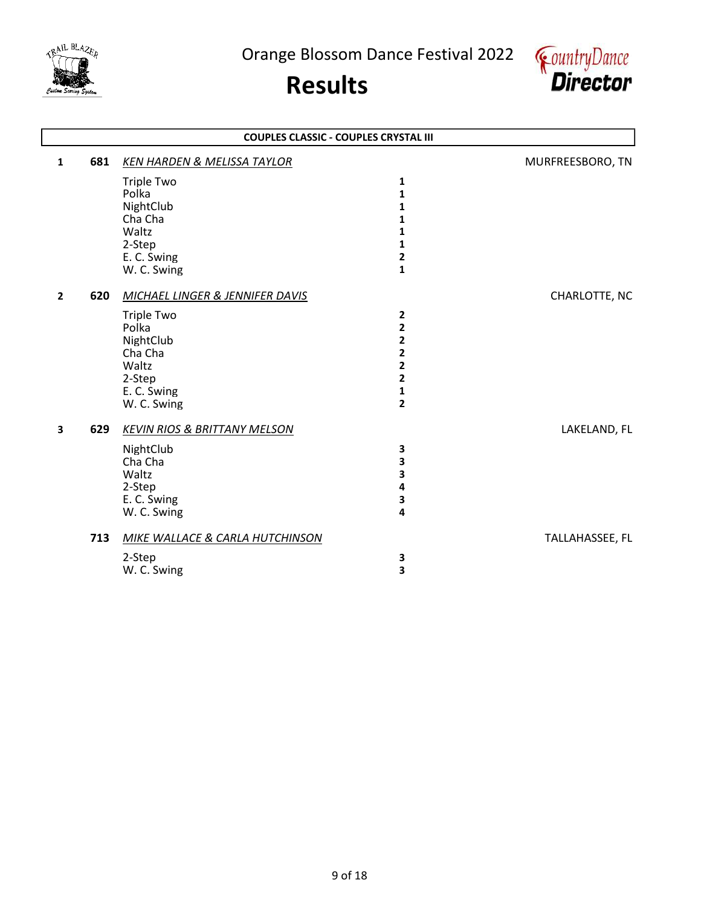



|                | <b>COUPLES CLASSIC - COUPLES CRYSTAL III</b> |                                            |                         |                  |  |  |
|----------------|----------------------------------------------|--------------------------------------------|-------------------------|------------------|--|--|
| $\mathbf{1}$   | 681                                          | <b>KEN HARDEN &amp; MELISSA TAYLOR</b>     |                         | MURFREESBORO, TN |  |  |
|                |                                              | <b>Triple Two</b>                          | 1                       |                  |  |  |
|                |                                              | Polka                                      | 1                       |                  |  |  |
|                |                                              | NightClub                                  | 1                       |                  |  |  |
|                |                                              | Cha Cha                                    | 1                       |                  |  |  |
|                |                                              | Waltz                                      | 1                       |                  |  |  |
|                |                                              | 2-Step                                     | 1<br>2                  |                  |  |  |
|                |                                              | E. C. Swing<br>W. C. Swing                 | $\mathbf{1}$            |                  |  |  |
|                |                                              |                                            |                         |                  |  |  |
| $\overline{2}$ | 620                                          | <b>MICHAEL LINGER &amp; JENNIFER DAVIS</b> |                         | CHARLOTTE, NC    |  |  |
|                |                                              | <b>Triple Two</b>                          | 2                       |                  |  |  |
|                |                                              | Polka                                      | 2                       |                  |  |  |
|                |                                              | NightClub                                  | 2                       |                  |  |  |
|                |                                              | Cha Cha                                    | 2                       |                  |  |  |
|                |                                              | Waltz                                      | $\overline{\mathbf{2}}$ |                  |  |  |
|                |                                              | 2-Step<br>E. C. Swing                      | 2<br>1                  |                  |  |  |
|                |                                              | W. C. Swing                                | $\overline{\mathbf{c}}$ |                  |  |  |
|                |                                              |                                            |                         |                  |  |  |
| 3              | 629                                          | <b>KEVIN RIOS &amp; BRITTANY MELSON</b>    |                         | LAKELAND, FL     |  |  |
|                |                                              | NightClub                                  | 3                       |                  |  |  |
|                |                                              | Cha Cha                                    | 3                       |                  |  |  |
|                |                                              | Waltz                                      | 3                       |                  |  |  |
|                |                                              | 2-Step                                     | 4                       |                  |  |  |
|                |                                              | E. C. Swing<br>W. C. Swing                 | 3<br>4                  |                  |  |  |
|                |                                              |                                            |                         |                  |  |  |
|                | 713                                          | <b>MIKE WALLACE &amp; CARLA HUTCHINSON</b> |                         | TALLAHASSEE, FL  |  |  |
|                |                                              | 2-Step                                     | 3                       |                  |  |  |
|                |                                              | W. C. Swing                                | 3                       |                  |  |  |
|                |                                              |                                            |                         |                  |  |  |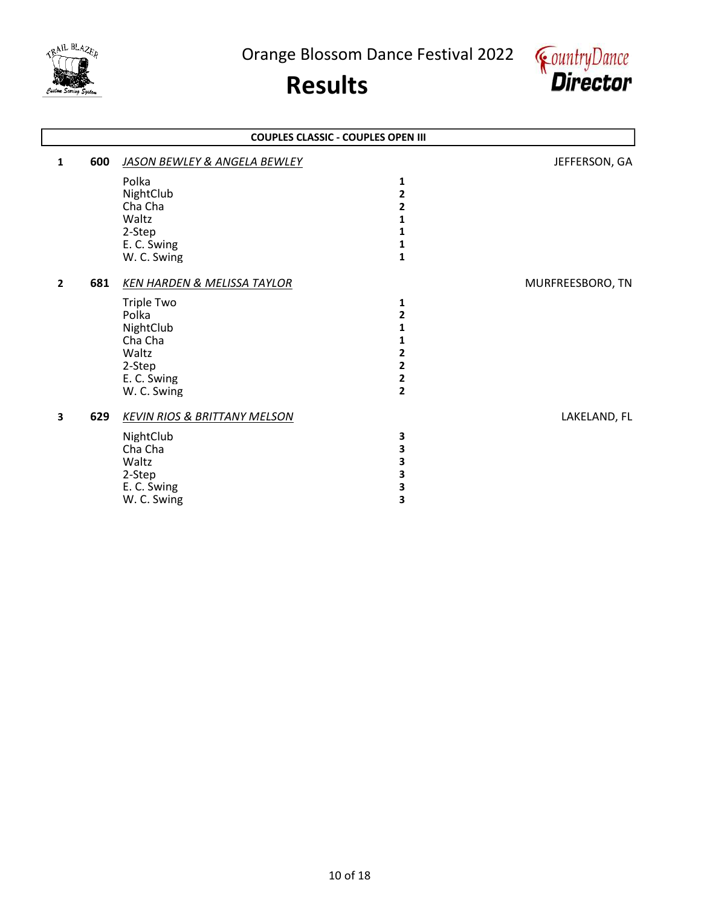



|                | <b>COUPLES CLASSIC - COUPLES OPEN III</b> |                                         |                         |                  |  |
|----------------|-------------------------------------------|-----------------------------------------|-------------------------|------------------|--|
| 1              | 600                                       | <b>JASON BEWLEY &amp; ANGELA BEWLEY</b> |                         | JEFFERSON, GA    |  |
|                |                                           | Polka                                   | 1                       |                  |  |
|                |                                           | NightClub                               | 2                       |                  |  |
|                |                                           | Cha Cha                                 | 2                       |                  |  |
|                |                                           | Waltz                                   | 1                       |                  |  |
|                |                                           | 2-Step                                  | 1                       |                  |  |
|                |                                           | E. C. Swing                             | 1                       |                  |  |
|                |                                           | W. C. Swing                             | $\mathbf{1}$            |                  |  |
| $\overline{2}$ | 681                                       | <b>KEN HARDEN &amp; MELISSA TAYLOR</b>  |                         | MURFREESBORO, TN |  |
|                |                                           | <b>Triple Two</b>                       | 1                       |                  |  |
|                |                                           | Polka                                   | $\overline{2}$          |                  |  |
|                |                                           | NightClub                               | 1                       |                  |  |
|                |                                           | Cha Cha                                 | 1                       |                  |  |
|                |                                           | Waltz                                   | 2                       |                  |  |
|                |                                           | 2-Step                                  | 2                       |                  |  |
|                |                                           | E. C. Swing                             | $\overline{\mathbf{2}}$ |                  |  |
|                |                                           | W. C. Swing                             | $\overline{2}$          |                  |  |
| 3              | 629                                       | <b>KEVIN RIOS &amp; BRITTANY MELSON</b> |                         | LAKELAND, FL     |  |
|                |                                           | NightClub                               | 3                       |                  |  |
|                |                                           | Cha Cha                                 | 3                       |                  |  |
|                |                                           | Waltz                                   | 3                       |                  |  |
|                |                                           | 2-Step                                  | 3                       |                  |  |
|                |                                           | E. C. Swing                             | З                       |                  |  |
|                |                                           | W. C. Swing                             | 3                       |                  |  |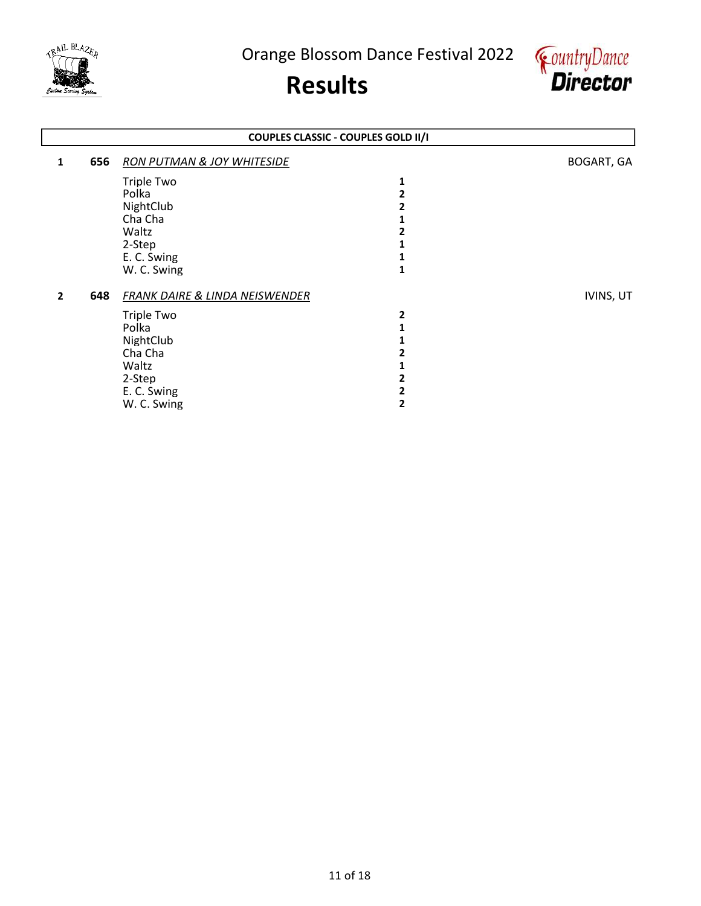



## 1 656 RON PUTMAN & JOY WHITESIDE **BOGART**, GA Triple Two 1<br>Polka 2 Polka 2012 and 2012 and 2012 and 2012 and 2012 and 2012 and 2012 and 2012 and 2012 and 2012 and 201 NightClub 2<br>Cha Cha 1 Cha Cha 2 and 2 and 2 and 2 and 2 and 2 and 2 and 2 and 2 and 2 and 2 and 2 and 2 and 2 and 2 and 2 and 2 and 2 and 2 and 2 and 2 and 2 and 2 and 2 and 2 and 2 and 2 and 2 and 2 and 2 and 2 and 2 and 2 and 2 and 2 and 2 an Waltz 2 2-Step 1<br>
E. C. Swing 1 E. C. Swing 1<br>
W. C. Swing 1 W. C. Swing 2 648 FRANK DAIRE & LINDA NEISWENDER IVINS, UT Triple Two 22<br>Polka 2022 Polka **1** NightClub 1<br>Cha Cha 2 Cha Cha 2  $W$ altz $\qquad \qquad \qquad$  1 2-Step 2<br>
E. C. Swing 2 E. C. Swing 2<br>
W. C. Swing 2 W. C. Swing COUPLES CLASSIC - COUPLES GOLD II/I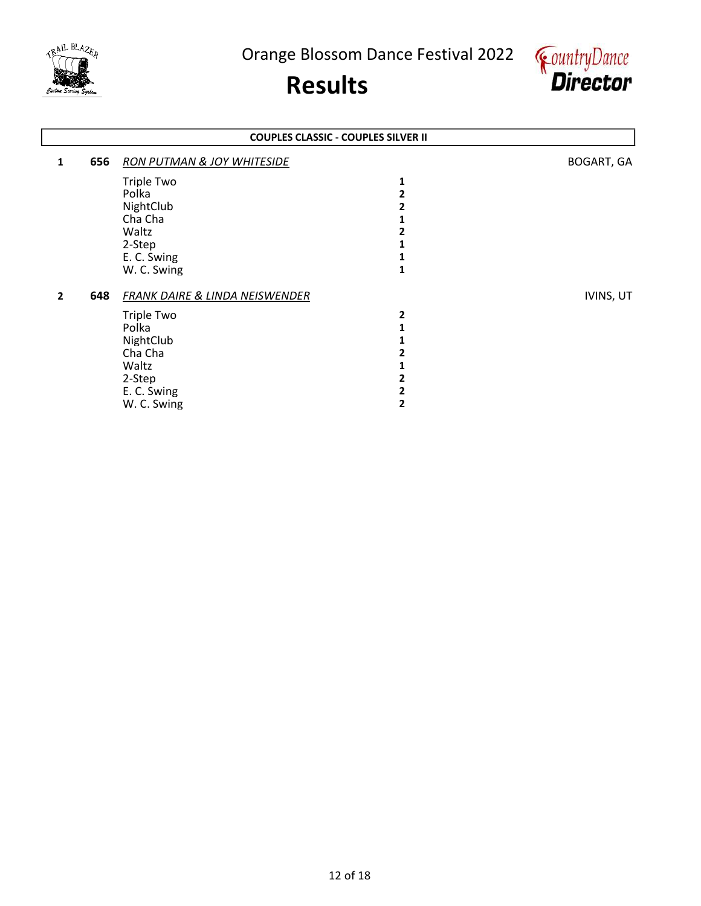



## 1 656 RON PUTMAN & JOY WHITESIDE **BOGART**, GA Triple Two 1<br>Polka 2 Polka 2012 and 2012 and 2012 and 2012 and 2012 and 2012 and 2012 and 2012 and 2012 and 2012 and 201 NightClub 2<br>Cha Cha 1 Cha Cha 2 and 2 and 2 and 2 and 2 and 2 and 2 and 2 and 2 and 2 and 2 and 2 and 2 and 2 and 2 and 2 and 2 and 2 and 2 and 2 and 2 and 2 and 2 and 2 and 2 and 2 and 2 and 2 and 2 and 2 and 2 and 2 and 2 and 2 and 2 and 2 an Waltz 2 2-Step 1<br>
E. C. Swing 1 E. C. Swing 1<br>
W. C. Swing 1 W. C. Swing 2 648 FRANK DAIRE & LINDA NEISWENDER IVINS, UT Triple Two 22<br>Polka 2022 Polka **1** NightClub 1<br>Cha Cha 2 Cha Cha 2  $W$ altz $\qquad \qquad \qquad$  1 2-Step 2<br>
E. C. Swing 2 E. C. Swing 2<br>
W. C. Swing 2 W. C. Swing COUPLES CLASSIC - COUPLES SILVER II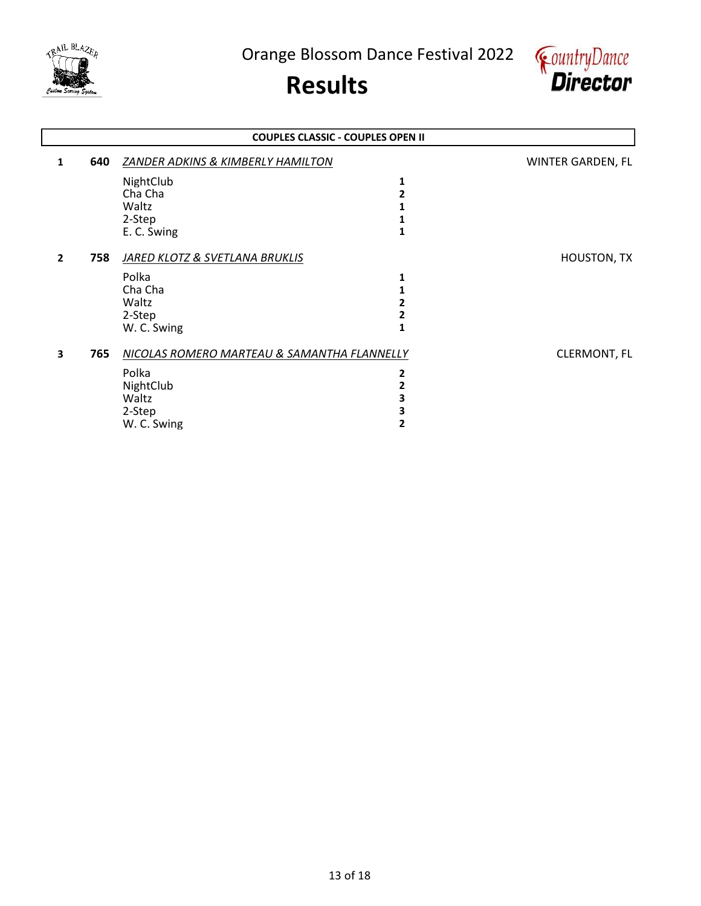



|                         | <b>COUPLES CLASSIC - COUPLES OPEN II</b> |                                             |   |                     |  |
|-------------------------|------------------------------------------|---------------------------------------------|---|---------------------|--|
| 1                       | 640                                      | ZANDER ADKINS & KIMBERLY HAMILTON           |   | WINTER GARDEN, FL   |  |
|                         |                                          | NightClub                                   | 1 |                     |  |
|                         |                                          | Cha Cha                                     | 2 |                     |  |
|                         |                                          | Waltz                                       |   |                     |  |
|                         |                                          | 2-Step                                      |   |                     |  |
|                         |                                          | E. C. Swing                                 | 1 |                     |  |
| $\overline{2}$          | 758                                      | <b>JARED KLOTZ &amp; SVETLANA BRUKLIS</b>   |   | <b>HOUSTON, TX</b>  |  |
|                         |                                          | Polka                                       | 1 |                     |  |
|                         |                                          | Cha Cha                                     |   |                     |  |
|                         |                                          | Waltz                                       | 2 |                     |  |
|                         |                                          | 2-Step                                      | 2 |                     |  |
|                         |                                          | W. C. Swing                                 |   |                     |  |
| $\overline{\mathbf{3}}$ | 765                                      | NICOLAS ROMERO MARTEAU & SAMANTHA FLANNELLY |   | <b>CLERMONT, FL</b> |  |
|                         |                                          | Polka                                       | 2 |                     |  |
|                         |                                          | NightClub                                   | 2 |                     |  |
|                         |                                          | Waltz                                       | З |                     |  |
|                         |                                          | 2-Step                                      | 3 |                     |  |
|                         |                                          | W. C. Swing                                 | 2 |                     |  |
|                         |                                          |                                             |   |                     |  |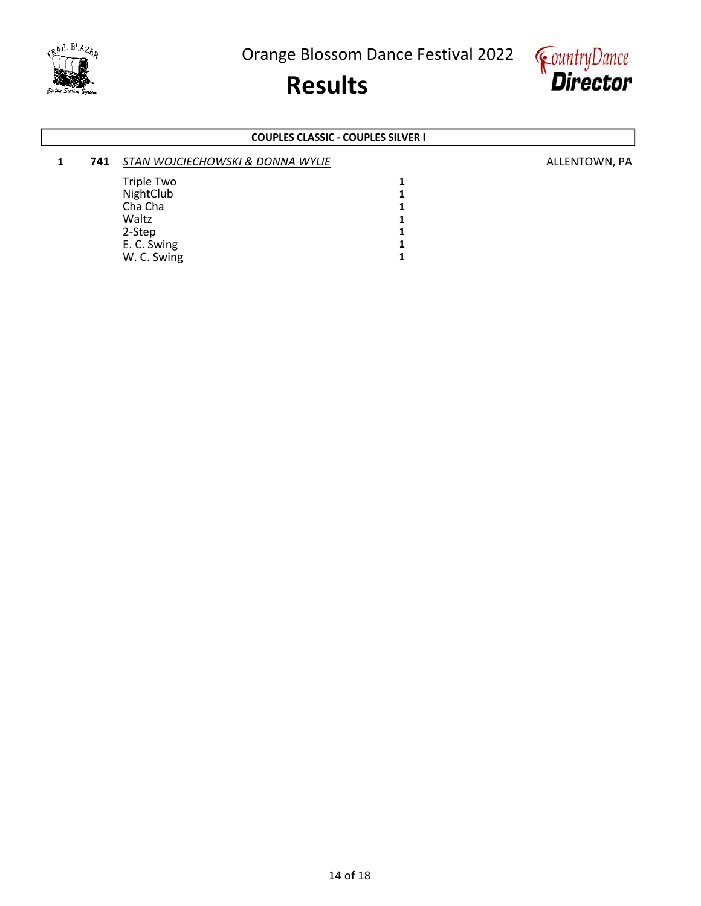





### COUPLES CLASSIC - COUPLES SILVER I

### 1 741 STAN WOJCIECHOWSKI & DONNA WYLIE ALLENTOWN, PA Triple Two 1<br>NightClub 1 NightClub 1<br>Cha Cha 1 Cha Cha 1<br>Waltz 1 Waltz<br>2-Step 1  $2-Step$  1<br>
E. C. Swing 1 E. C. Swing 1<br>
W. C. Swing 1 W. C. Swing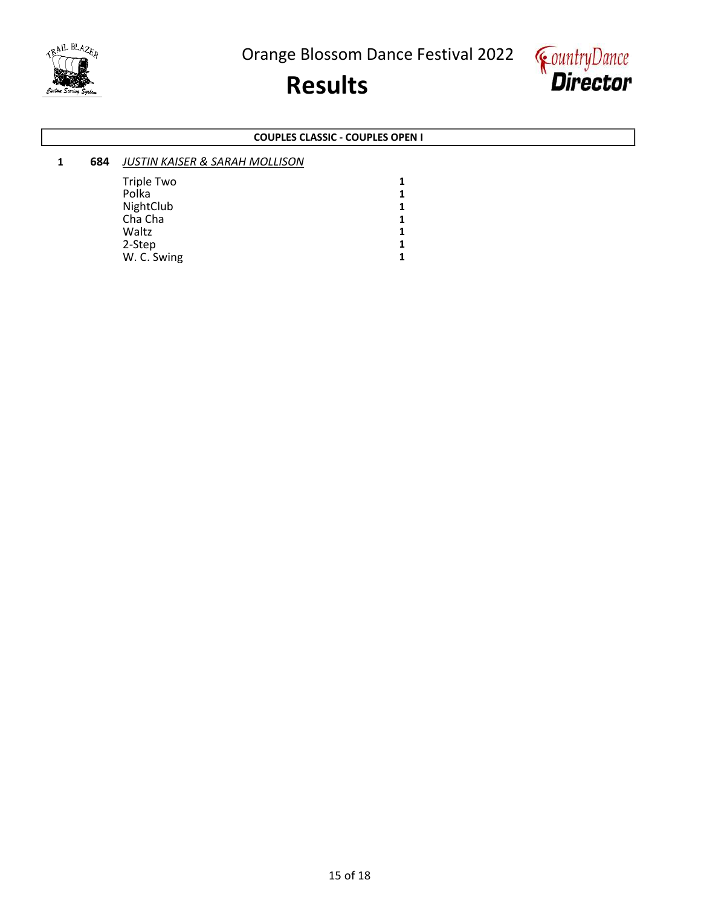





### COUPLES CLASSIC - COUPLES OPEN I

| 684 | <b>JUSTIN KAISER &amp; SARAH MOLLISON</b> |   |  |
|-----|-------------------------------------------|---|--|
|     | <b>Triple Two</b>                         | 1 |  |
|     | Polka                                     | 1 |  |
|     | NightClub                                 | 1 |  |
|     | Cha Cha                                   | 1 |  |
|     | Waltz                                     |   |  |
|     | 2-Step                                    | 1 |  |
|     | W. C. Swing                               |   |  |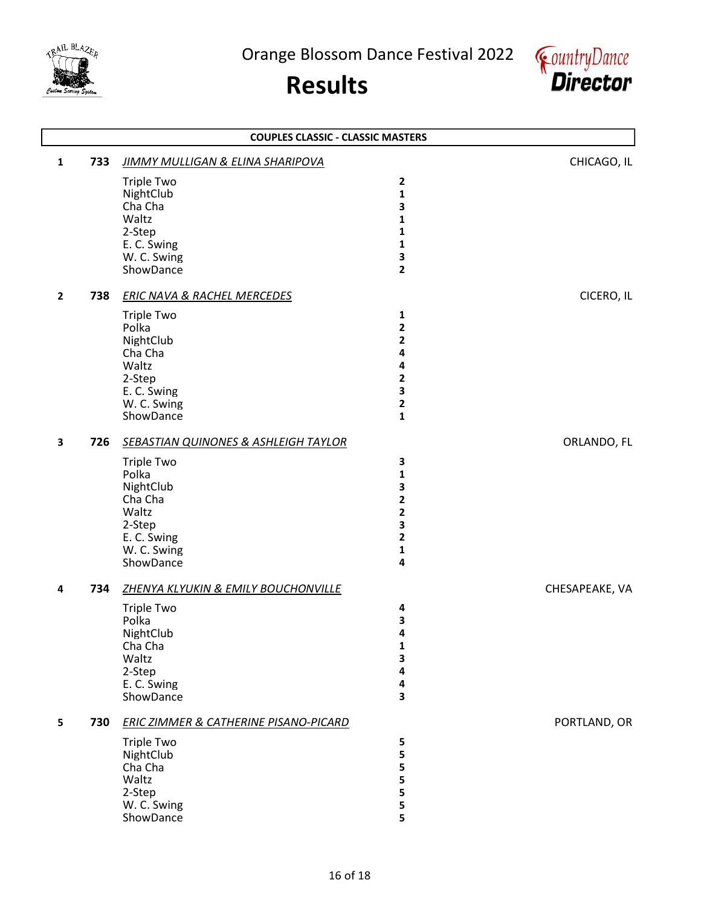



|                         | <b>COUPLES CLASSIC - CLASSIC MASTERS</b> |                                                 |                |                |  |
|-------------------------|------------------------------------------|-------------------------------------------------|----------------|----------------|--|
| $\mathbf{1}$            | 733                                      | <b>JIMMY MULLIGAN &amp; ELINA SHARIPOVA</b>     |                | CHICAGO, IL    |  |
|                         |                                          | <b>Triple Two</b>                               | $\mathbf{2}$   |                |  |
|                         |                                          | NightClub                                       | $\mathbf{1}$   |                |  |
|                         |                                          | Cha Cha                                         | 3              |                |  |
|                         |                                          | Waltz                                           | 1              |                |  |
|                         |                                          | 2-Step                                          | 1              |                |  |
|                         |                                          | E. C. Swing                                     | $\mathbf{1}$   |                |  |
|                         |                                          | W. C. Swing                                     | 3              |                |  |
|                         |                                          | ShowDance                                       | $\mathbf{2}$   |                |  |
| $\mathbf{2}$            | 738                                      | <b>ERIC NAVA &amp; RACHEL MERCEDES</b>          |                | CICERO, IL     |  |
|                         |                                          | <b>Triple Two</b>                               | 1              |                |  |
|                         |                                          | Polka                                           | $\overline{2}$ |                |  |
|                         |                                          | NightClub                                       | 2              |                |  |
|                         |                                          | Cha Cha                                         | 4              |                |  |
|                         |                                          | Waltz                                           | 4              |                |  |
|                         |                                          | 2-Step                                          | $\mathbf{2}$   |                |  |
|                         |                                          | E. C. Swing                                     | 3              |                |  |
|                         |                                          | W. C. Swing                                     | $\mathbf{2}$   |                |  |
|                         |                                          | ShowDance                                       | $\mathbf{1}$   |                |  |
| $\overline{\mathbf{3}}$ | 726                                      | <b>SEBASTIAN QUINONES &amp; ASHLEIGH TAYLOR</b> |                | ORLANDO, FL    |  |
|                         |                                          | <b>Triple Two</b>                               | 3              |                |  |
|                         |                                          | Polka                                           | 1              |                |  |
|                         |                                          | NightClub                                       | 3              |                |  |
|                         |                                          | Cha Cha                                         | $\mathbf{2}$   |                |  |
|                         |                                          | Waltz                                           | $\mathbf{2}$   |                |  |
|                         |                                          | 2-Step                                          | 3              |                |  |
|                         |                                          | E. C. Swing                                     | $\mathbf 2$    |                |  |
|                         |                                          | W. C. Swing                                     | $\mathbf{1}$   |                |  |
|                         |                                          | ShowDance                                       | 4              |                |  |
| 4                       | 734                                      | ZHENYA KLYUKIN & EMILY BOUCHONVILLE             |                | CHESAPEAKE, VA |  |
|                         |                                          | <b>Triple Two</b>                               | 4              |                |  |
|                         |                                          | Polka                                           | 3              |                |  |
|                         |                                          | NightClub                                       | 4              |                |  |
|                         |                                          | Cha Cha                                         | 1              |                |  |
|                         |                                          | Waltz                                           | 3              |                |  |
|                         |                                          | 2-Step                                          | 4              |                |  |
|                         |                                          | E. C. Swing                                     | 4              |                |  |
|                         |                                          | ShowDance                                       | 3              |                |  |
| 5                       | 730                                      | ERIC ZIMMER & CATHERINE PISANO-PICARD           |                | PORTLAND, OR   |  |
|                         |                                          | <b>Triple Two</b>                               | 5              |                |  |
|                         |                                          | NightClub                                       | 5              |                |  |
|                         |                                          | Cha Cha                                         | 5              |                |  |
|                         |                                          | Waltz                                           | 5              |                |  |
|                         |                                          | 2-Step                                          | 5              |                |  |
|                         |                                          | W. C. Swing                                     | 5              |                |  |
|                         |                                          | ShowDance                                       | 5              |                |  |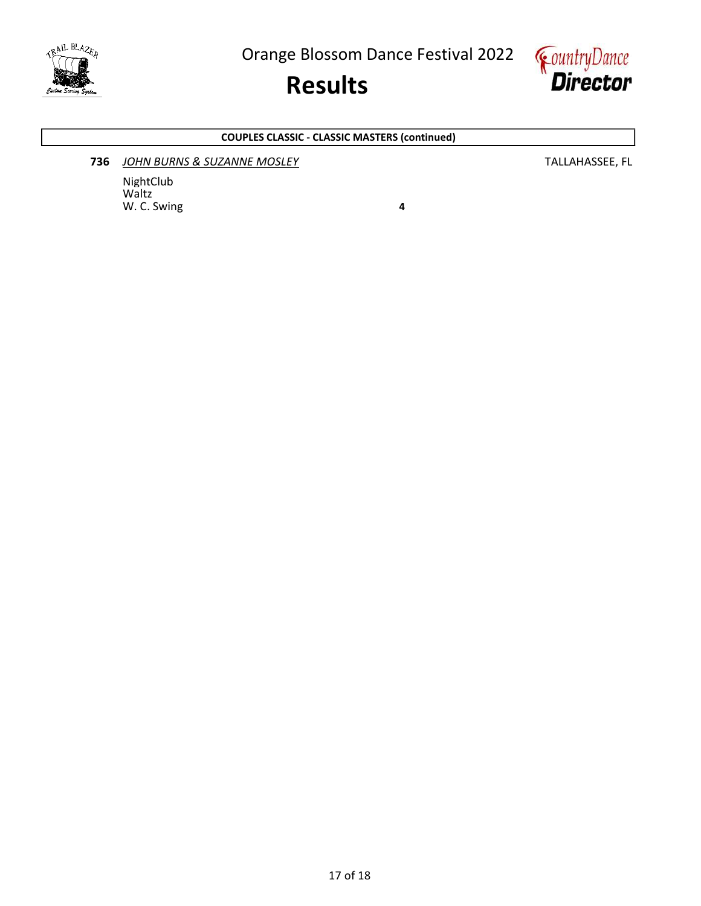

## Results



### COUPLES CLASSIC - CLASSIC MASTERS (continued)

### **736** JOHN BURNS & SUZANNE MOSLEY **TALLAHASSEE, FL**

NightClub Waltz W. C. Swing **4**